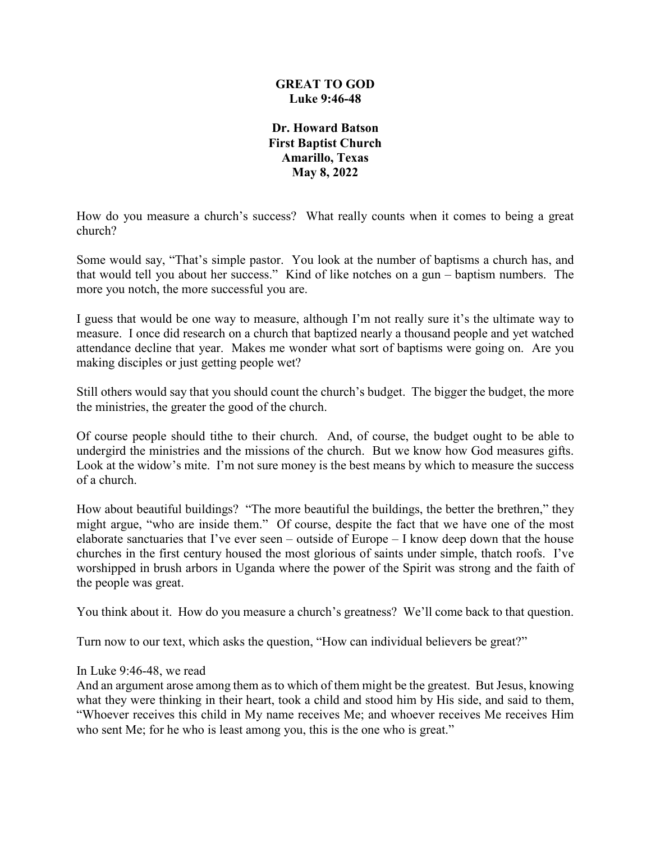### **GREAT TO GOD Luke 9:46-48**

**Dr. Howard Batson First Baptist Church Amarillo, Texas May 8, 2022**

How do you measure a church's success? What really counts when it comes to being a great church?

Some would say, "That's simple pastor. You look at the number of baptisms a church has, and that would tell you about her success." Kind of like notches on a gun – baptism numbers. The more you notch, the more successful you are.

I guess that would be one way to measure, although I'm not really sure it's the ultimate way to measure. I once did research on a church that baptized nearly a thousand people and yet watched attendance decline that year. Makes me wonder what sort of baptisms were going on. Are you making disciples or just getting people wet?

Still others would say that you should count the church's budget. The bigger the budget, the more the ministries, the greater the good of the church.

Of course people should tithe to their church. And, of course, the budget ought to be able to undergird the ministries and the missions of the church. But we know how God measures gifts. Look at the widow's mite. I'm not sure money is the best means by which to measure the success of a church.

How about beautiful buildings? "The more beautiful the buildings, the better the brethren," they might argue, "who are inside them." Of course, despite the fact that we have one of the most elaborate sanctuaries that I've ever seen – outside of Europe – I know deep down that the house churches in the first century housed the most glorious of saints under simple, thatch roofs. I've worshipped in brush arbors in Uganda where the power of the Spirit was strong and the faith of the people was great.

You think about it. How do you measure a church's greatness? We'll come back to that question.

Turn now to our text, which asks the question, "How can individual believers be great?"

#### In Luke 9:46-48, we read

And an argument arose among them as to which of them might be the greatest. But Jesus, knowing what they were thinking in their heart, took a child and stood him by His side, and said to them, "Whoever receives this child in My name receives Me; and whoever receives Me receives Him who sent Me; for he who is least among you, this is the one who is great."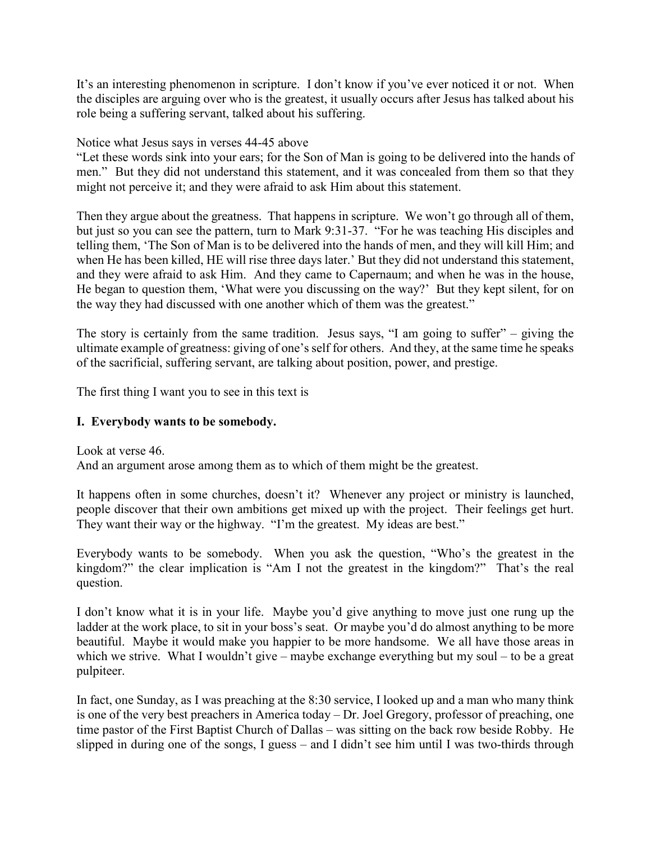It's an interesting phenomenon in scripture. I don't know if you've ever noticed it or not. When the disciples are arguing over who is the greatest, it usually occurs after Jesus has talked about his role being a suffering servant, talked about his suffering.

### Notice what Jesus says in verses 44-45 above

"Let these words sink into your ears; for the Son of Man is going to be delivered into the hands of men." But they did not understand this statement, and it was concealed from them so that they might not perceive it; and they were afraid to ask Him about this statement.

Then they argue about the greatness. That happens in scripture. We won't go through all of them, but just so you can see the pattern, turn to Mark 9:31-37. "For he was teaching His disciples and telling them, 'The Son of Man is to be delivered into the hands of men, and they will kill Him; and when He has been killed, HE will rise three days later.' But they did not understand this statement, and they were afraid to ask Him. And they came to Capernaum; and when he was in the house, He began to question them, 'What were you discussing on the way?' But they kept silent, for on the way they had discussed with one another which of them was the greatest."

The story is certainly from the same tradition. Jesus says, "I am going to suffer" – giving the ultimate example of greatness: giving of one's self for others. And they, at the same time he speaks of the sacrificial, suffering servant, are talking about position, power, and prestige.

The first thing I want you to see in this text is

# **I. Everybody wants to be somebody.**

Look at verse 46. And an argument arose among them as to which of them might be the greatest.

It happens often in some churches, doesn't it? Whenever any project or ministry is launched, people discover that their own ambitions get mixed up with the project. Their feelings get hurt. They want their way or the highway. "I'm the greatest. My ideas are best."

Everybody wants to be somebody. When you ask the question, "Who's the greatest in the kingdom?" the clear implication is "Am I not the greatest in the kingdom?" That's the real question.

I don't know what it is in your life. Maybe you'd give anything to move just one rung up the ladder at the work place, to sit in your boss's seat. Or maybe you'd do almost anything to be more beautiful. Maybe it would make you happier to be more handsome. We all have those areas in which we strive. What I wouldn't give – maybe exchange everything but my soul – to be a great pulpiteer.

In fact, one Sunday, as I was preaching at the 8:30 service, I looked up and a man who many think is one of the very best preachers in America today – Dr. Joel Gregory, professor of preaching, one time pastor of the First Baptist Church of Dallas – was sitting on the back row beside Robby. He slipped in during one of the songs, I guess – and I didn't see him until I was two-thirds through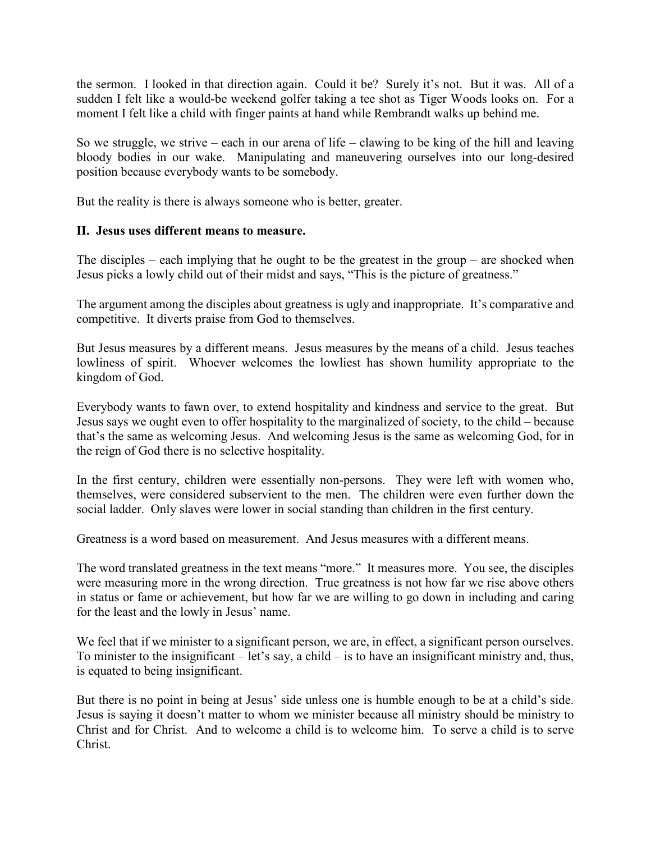the sermon. I looked in that direction again. Could it be? Surely it's not. But it was. All of a sudden I felt like a would-be weekend golfer taking a tee shot as Tiger Woods looks on. For a moment I felt like a child with finger paints at hand while Rembrandt walks up behind me.

So we struggle, we strive – each in our arena of life – clawing to be king of the hill and leaving bloody bodies in our wake. Manipulating and maneuvering ourselves into our long-desired position because everybody wants to be somebody.

But the reality is there is always someone who is better, greater.

# **II. Jesus uses different means to measure.**

The disciples – each implying that he ought to be the greatest in the group – are shocked when Jesus picks a lowly child out of their midst and says, "This is the picture of greatness."

The argument among the disciples about greatness is ugly and inappropriate. It's comparative and competitive. It diverts praise from God to themselves.

But Jesus measures by a different means. Jesus measures by the means of a child. Jesus teaches lowliness of spirit. Whoever welcomes the lowliest has shown humility appropriate to the kingdom of God.

Everybody wants to fawn over, to extend hospitality and kindness and service to the great. But Jesus says we ought even to offer hospitality to the marginalized of society, to the child – because that's the same as welcoming Jesus. And welcoming Jesus is the same as welcoming God, for in the reign of God there is no selective hospitality.

In the first century, children were essentially non-persons. They were left with women who, themselves, were considered subservient to the men. The children were even further down the social ladder. Only slaves were lower in social standing than children in the first century.

Greatness is a word based on measurement. And Jesus measures with a different means.

The word translated greatness in the text means "more." It measures more. You see, the disciples were measuring more in the wrong direction. True greatness is not how far we rise above others in status or fame or achievement, but how far we are willing to go down in including and caring for the least and the lowly in Jesus' name.

We feel that if we minister to a significant person, we are, in effect, a significant person ourselves. To minister to the insignificant – let's say, a child – is to have an insignificant ministry and, thus, is equated to being insignificant.

But there is no point in being at Jesus' side unless one is humble enough to be at a child's side. Jesus is saying it doesn't matter to whom we minister because all ministry should be ministry to Christ and for Christ. And to welcome a child is to welcome him. To serve a child is to serve Christ.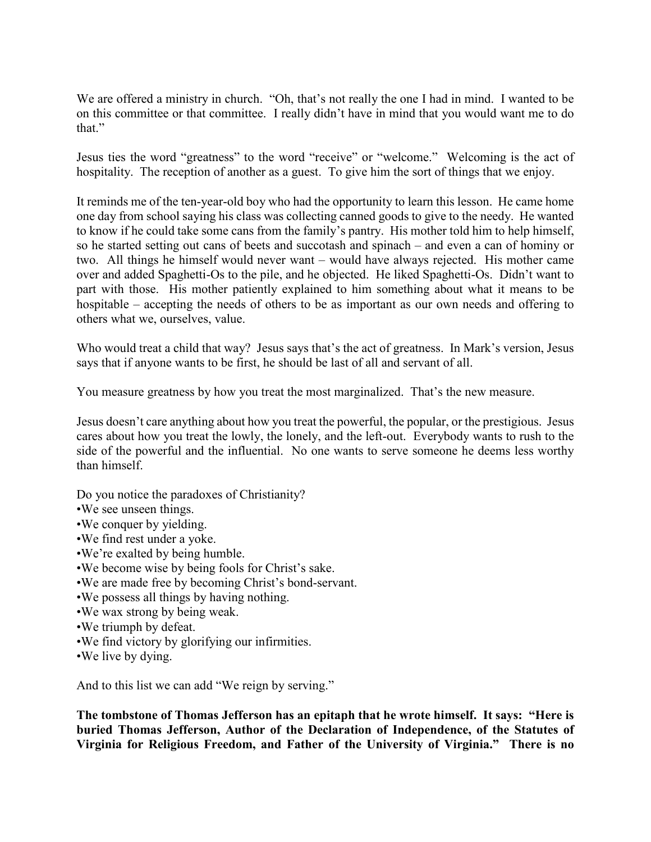We are offered a ministry in church. "Oh, that's not really the one I had in mind. I wanted to be on this committee or that committee. I really didn't have in mind that you would want me to do that."

Jesus ties the word "greatness" to the word "receive" or "welcome." Welcoming is the act of hospitality. The reception of another as a guest. To give him the sort of things that we enjoy.

It reminds me of the ten-year-old boy who had the opportunity to learn this lesson. He came home one day from school saying his class was collecting canned goods to give to the needy. He wanted to know if he could take some cans from the family's pantry. His mother told him to help himself, so he started setting out cans of beets and succotash and spinach – and even a can of hominy or two. All things he himself would never want – would have always rejected. His mother came over and added Spaghetti-Os to the pile, and he objected. He liked Spaghetti-Os. Didn't want to part with those. His mother patiently explained to him something about what it means to be hospitable – accepting the needs of others to be as important as our own needs and offering to others what we, ourselves, value.

Who would treat a child that way? Jesus says that's the act of greatness. In Mark's version, Jesus says that if anyone wants to be first, he should be last of all and servant of all.

You measure greatness by how you treat the most marginalized. That's the new measure.

Jesus doesn't care anything about how you treat the powerful, the popular, or the prestigious. Jesus cares about how you treat the lowly, the lonely, and the left-out. Everybody wants to rush to the side of the powerful and the influential. No one wants to serve someone he deems less worthy than himself.

Do you notice the paradoxes of Christianity?

- •We see unseen things.
- •We conquer by yielding.
- •We find rest under a yoke.
- •We're exalted by being humble.
- •We become wise by being fools for Christ's sake.
- •We are made free by becoming Christ's bond-servant.
- •We possess all things by having nothing.
- •We wax strong by being weak.
- •We triumph by defeat.
- •We find victory by glorifying our infirmities.
- •We live by dying.

And to this list we can add "We reign by serving."

**The tombstone of Thomas Jefferson has an epitaph that he wrote himself. It says: "Here is buried Thomas Jefferson, Author of the Declaration of Independence, of the Statutes of Virginia for Religious Freedom, and Father of the University of Virginia." There is no**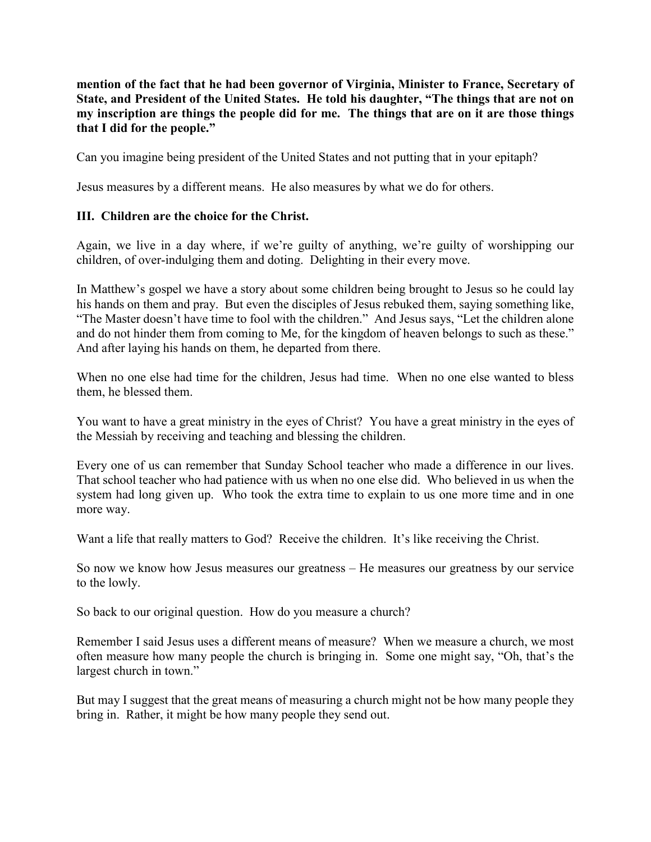**mention of the fact that he had been governor of Virginia, Minister to France, Secretary of State, and President of the United States. He told his daughter, "The things that are not on my inscription are things the people did for me. The things that are on it are those things that I did for the people."**

Can you imagine being president of the United States and not putting that in your epitaph?

Jesus measures by a different means. He also measures by what we do for others.

# **III. Children are the choice for the Christ.**

Again, we live in a day where, if we're guilty of anything, we're guilty of worshipping our children, of over-indulging them and doting. Delighting in their every move.

In Matthew's gospel we have a story about some children being brought to Jesus so he could lay his hands on them and pray. But even the disciples of Jesus rebuked them, saying something like, "The Master doesn't have time to fool with the children." And Jesus says, "Let the children alone and do not hinder them from coming to Me, for the kingdom of heaven belongs to such as these." And after laying his hands on them, he departed from there.

When no one else had time for the children, Jesus had time. When no one else wanted to bless them, he blessed them.

You want to have a great ministry in the eyes of Christ? You have a great ministry in the eyes of the Messiah by receiving and teaching and blessing the children.

Every one of us can remember that Sunday School teacher who made a difference in our lives. That school teacher who had patience with us when no one else did. Who believed in us when the system had long given up. Who took the extra time to explain to us one more time and in one more way.

Want a life that really matters to God? Receive the children. It's like receiving the Christ.

So now we know how Jesus measures our greatness – He measures our greatness by our service to the lowly.

So back to our original question. How do you measure a church?

Remember I said Jesus uses a different means of measure? When we measure a church, we most often measure how many people the church is bringing in. Some one might say, "Oh, that's the largest church in town."

But may I suggest that the great means of measuring a church might not be how many people they bring in. Rather, it might be how many people they send out.